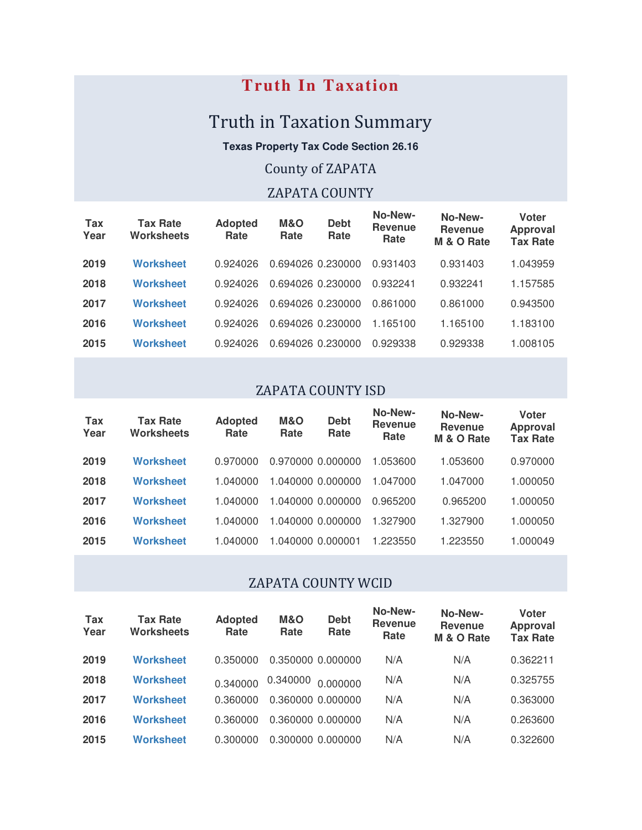## **Truth In Taxation**

# Truth in Taxation Summary

**Texas Property Tax Code Section 26.16**

## County of ZAPATA

## ZAPATA COUNTY

| <b>Tax</b><br>Year | <b>Tax Rate</b><br><b>Worksheets</b> | <b>Adopted</b><br>Rate | M&O<br><b>Debt</b><br>Rate<br>Rate | No-New-<br><b>Revenue</b><br>Rate | No-New-<br><b>Revenue</b><br>M & O Rate | Voter<br><b>Approval</b><br><b>Tax Rate</b> |
|--------------------|--------------------------------------|------------------------|------------------------------------|-----------------------------------|-----------------------------------------|---------------------------------------------|
| 2019               | <b>Worksheet</b>                     | 0.924026               | 0.694026 0.230000                  | 0.931403                          | 0.931403                                | 1.043959                                    |
| 2018               | <b>Worksheet</b>                     | 0.924026               | 0.694026 0.230000                  | 0.932241                          | 0.932241                                | 1.157585                                    |
| 2017               | <b>Worksheet</b>                     | 0.924026               | 0.694026 0.230000                  | 0.861000                          | 0.861000                                | 0.943500                                    |
| 2016               | <b>Worksheet</b>                     | 0.924026               | 0.694026 0.230000                  | 1.165100                          | 1.165100                                | 1.183100                                    |
| 2015               | <b>Worksheet</b>                     | 0.924026               | 0.694026 0.230000                  | 0.929338                          | 0.929338                                | 1.008105                                    |
|                    |                                      |                        |                                    |                                   |                                         |                                             |

#### ZAPATA COUNTY ISD

| Tax<br>Year | <b>Tax Rate</b><br><b>Worksheets</b> | <b>Adopted</b><br>Rate | M&O<br>Rate       | <b>Debt</b><br>Rate | No-New-<br><b>Revenue</b><br>Rate | No-New-<br><b>Revenue</b><br>M & O Rate | Voter<br><b>Approval</b><br><b>Tax Rate</b> |
|-------------|--------------------------------------|------------------------|-------------------|---------------------|-----------------------------------|-----------------------------------------|---------------------------------------------|
| 2019        | <b>Worksheet</b>                     | 0.970000               | 0.970000 0.000000 |                     | 1.053600                          | 1.053600                                | 0.970000                                    |
| 2018        | <b>Worksheet</b>                     | 1.040000               | 1.040000 0.000000 |                     | 1.047000                          | 1.047000                                | 1.000050                                    |
| 2017        | <b>Worksheet</b>                     | 1.040000               | 1.040000 0.000000 |                     | 0.965200                          | 0.965200                                | 1.000050                                    |
| 2016        | <b>Worksheet</b>                     | 1.040000               | 1.040000 0.000000 |                     | 1.327900                          | 1.327900                                | 1.000050                                    |
| 2015        | <b>Worksheet</b>                     | 1.040000               |                   |                     | 1.223550                          | 1.223550                                | 1.000049                                    |

#### ZAPATA COUNTY WCID

| Tax<br>Year | <b>Tax Rate</b><br><b>Worksheets</b> | <b>Adopted</b><br>Rate | M&O<br>Rate | <b>Debt</b><br>Rate | No-New-<br><b>Revenue</b><br>Rate | No-New-<br><b>Revenue</b><br>M & O Rate | Voter<br><b>Approval</b><br><b>Tax Rate</b> |
|-------------|--------------------------------------|------------------------|-------------|---------------------|-----------------------------------|-----------------------------------------|---------------------------------------------|
| 2019        | <b>Worksheet</b>                     | 0.350000               |             | 0.350000 0.000000   | N/A                               | N/A                                     | 0.362211                                    |
| 2018        | <b>Worksheet</b>                     | 0.340000               | 0.340000    | 0.000000            | N/A                               | N/A                                     | 0.325755                                    |
| 2017        | <b>Worksheet</b>                     | 0.360000               |             | 0.360000 0.000000   | N/A                               | N/A                                     | 0.363000                                    |
| 2016        | <b>Worksheet</b>                     | 0.360000               |             | 0.360000 0.000000   | N/A                               | N/A                                     | 0.263600                                    |
| 2015        | Worksheet                            | 0.300000               |             | 0.300000 0.000000   | N/A                               | N/A                                     | 0.322600                                    |